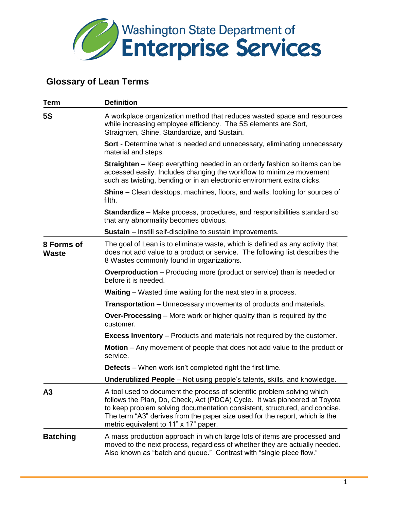

## **Glossary of Lean Terms**

| <b>Term</b>                | <b>Definition</b>                                                                                                                                                                                                                                                                                                                                          |
|----------------------------|------------------------------------------------------------------------------------------------------------------------------------------------------------------------------------------------------------------------------------------------------------------------------------------------------------------------------------------------------------|
| <b>5S</b>                  | A workplace organization method that reduces wasted space and resources<br>while increasing employee efficiency. The 5S elements are Sort,<br>Straighten, Shine, Standardize, and Sustain.                                                                                                                                                                 |
|                            | <b>Sort</b> - Determine what is needed and unnecessary, eliminating unnecessary<br>material and steps.                                                                                                                                                                                                                                                     |
|                            | <b>Straighten</b> – Keep everything needed in an orderly fashion so items can be<br>accessed easily. Includes changing the workflow to minimize movement<br>such as twisting, bending or in an electronic environment extra clicks.                                                                                                                        |
|                            | Shine - Clean desktops, machines, floors, and walls, looking for sources of<br>filth.                                                                                                                                                                                                                                                                      |
|                            | <b>Standardize</b> – Make process, procedures, and responsibilities standard so<br>that any abnormality becomes obvious.                                                                                                                                                                                                                                   |
|                            | <b>Sustain</b> – Instill self-discipline to sustain improvements.                                                                                                                                                                                                                                                                                          |
| 8 Forms of<br><b>Waste</b> | The goal of Lean is to eliminate waste, which is defined as any activity that<br>does not add value to a product or service. The following list describes the<br>8 Wastes commonly found in organizations.                                                                                                                                                 |
|                            | <b>Overproduction</b> – Producing more (product or service) than is needed or<br>before it is needed.                                                                                                                                                                                                                                                      |
|                            | <b>Waiting</b> – Wasted time waiting for the next step in a process.                                                                                                                                                                                                                                                                                       |
|                            | <b>Transportation</b> – Unnecessary movements of products and materials.                                                                                                                                                                                                                                                                                   |
|                            | <b>Over-Processing</b> – More work or higher quality than is required by the<br>customer.                                                                                                                                                                                                                                                                  |
|                            | <b>Excess Inventory</b> – Products and materials not required by the customer.                                                                                                                                                                                                                                                                             |
|                            | <b>Motion</b> – Any movement of people that does not add value to the product or<br>service.                                                                                                                                                                                                                                                               |
|                            | <b>Defects</b> – When work isn't completed right the first time.                                                                                                                                                                                                                                                                                           |
|                            | <b>Underutilized People</b> – Not using people's talents, skills, and knowledge.                                                                                                                                                                                                                                                                           |
| A3                         | A tool used to document the process of scientific problem solving which<br>follows the Plan, Do, Check, Act (PDCA) Cycle. It was pioneered at Toyota<br>to keep problem solving documentation consistent, structured, and concise.<br>The term "A3" derives from the paper size used for the report, which is the<br>metric equivalent to 11" x 17" paper. |
| <b>Batching</b>            | A mass production approach in which large lots of items are processed and<br>moved to the next process, regardless of whether they are actually needed.<br>Also known as "batch and queue." Contrast with "single piece flow."                                                                                                                             |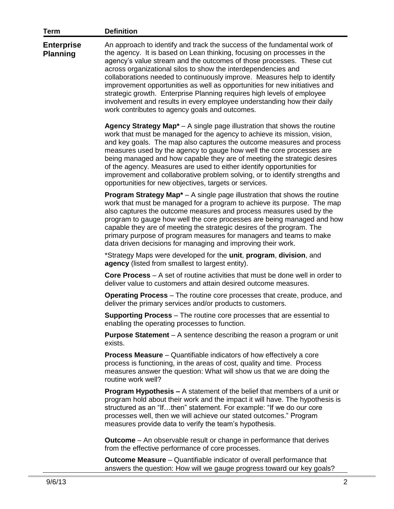| <b>Term</b>                          | <b>Definition</b>                                                                                                                                                                                                                                                                                                                                                                                                                                                                                                                                                                                                                                            |
|--------------------------------------|--------------------------------------------------------------------------------------------------------------------------------------------------------------------------------------------------------------------------------------------------------------------------------------------------------------------------------------------------------------------------------------------------------------------------------------------------------------------------------------------------------------------------------------------------------------------------------------------------------------------------------------------------------------|
| <b>Enterprise</b><br><b>Planning</b> | An approach to identify and track the success of the fundamental work of<br>the agency. It is based on Lean thinking, focusing on processes in the<br>agency's value stream and the outcomes of those processes. These cut<br>across organizational silos to show the interdependencies and<br>collaborations needed to continuously improve. Measures help to identify<br>improvement opportunities as well as opportunities for new initiatives and<br>strategic growth. Enterprise Planning requires high levels of employee<br>involvement and results in every employee understanding how their daily<br>work contributes to agency goals and outcomes. |
|                                      | Agency Strategy Map <sup>*</sup> $-$ A single page illustration that shows the routine<br>work that must be managed for the agency to achieve its mission, vision,<br>and key goals. The map also captures the outcome measures and process<br>measures used by the agency to gauge how well the core processes are<br>being managed and how capable they are of meeting the strategic desires<br>of the agency. Measures are used to either identify opportunities for<br>improvement and collaborative problem solving, or to identify strengths and<br>opportunities for new objectives, targets or services.                                             |
|                                      | <b>Program Strategy Map<sup><math>*</math></sup> – A single page illustration that shows the routine</b><br>work that must be managed for a program to achieve its purpose. The map<br>also captures the outcome measures and process measures used by the<br>program to gauge how well the core processes are being managed and how<br>capable they are of meeting the strategic desires of the program. The<br>primary purpose of program measures for managers and teams to make<br>data driven decisions for managing and improving their work.                                                                                                          |
|                                      | *Strategy Maps were developed for the unit, program, division, and<br>agency (listed from smallest to largest entity).                                                                                                                                                                                                                                                                                                                                                                                                                                                                                                                                       |
|                                      | <b>Core Process</b> – A set of routine activities that must be done well in order to<br>deliver value to customers and attain desired outcome measures.                                                                                                                                                                                                                                                                                                                                                                                                                                                                                                      |
|                                      | <b>Operating Process</b> – The routine core processes that create, produce, and<br>deliver the primary services and/or products to customers.                                                                                                                                                                                                                                                                                                                                                                                                                                                                                                                |
|                                      | <b>Supporting Process</b> – The routine core processes that are essential to<br>enabling the operating processes to function.                                                                                                                                                                                                                                                                                                                                                                                                                                                                                                                                |
|                                      | <b>Purpose Statement</b> $- A$ sentence describing the reason a program or unit<br>exists.                                                                                                                                                                                                                                                                                                                                                                                                                                                                                                                                                                   |
|                                      | <b>Process Measure</b> – Quantifiable indicators of how effectively a core<br>process is functioning, in the areas of cost, quality and time. Process<br>measures answer the question: What will show us that we are doing the<br>routine work well?                                                                                                                                                                                                                                                                                                                                                                                                         |
|                                      | Program Hypothesis - A statement of the belief that members of a unit or<br>program hold about their work and the impact it will have. The hypothesis is<br>structured as an "Ifthen" statement. For example: "If we do our core<br>processes well, then we will achieve our stated outcomes." Program<br>measures provide data to verify the team's hypothesis.                                                                                                                                                                                                                                                                                             |
|                                      | <b>Outcome</b> – An observable result or change in performance that derives<br>from the effective performance of core processes.                                                                                                                                                                                                                                                                                                                                                                                                                                                                                                                             |
|                                      | Outcome Measure - Quantifiable indicator of overall performance that<br>answers the question: How will we gauge progress toward our key goals?                                                                                                                                                                                                                                                                                                                                                                                                                                                                                                               |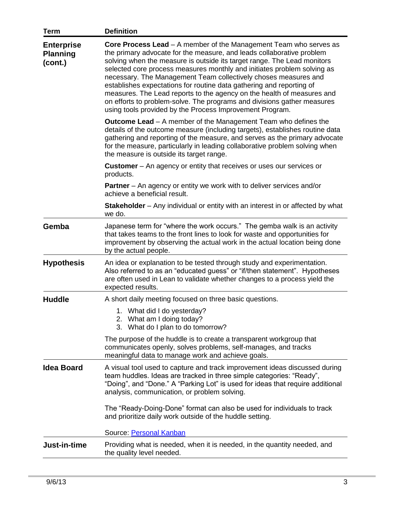| <b>Term</b>                                     | <b>Definition</b>                                                                                                                                                                                                                                                                                                                                                                                                                                                                                                                                                                                                                                                   |
|-------------------------------------------------|---------------------------------------------------------------------------------------------------------------------------------------------------------------------------------------------------------------------------------------------------------------------------------------------------------------------------------------------------------------------------------------------------------------------------------------------------------------------------------------------------------------------------------------------------------------------------------------------------------------------------------------------------------------------|
| <b>Enterprise</b><br><b>Planning</b><br>(cont.) | <b>Core Process Lead</b> – A member of the Management Team who serves as<br>the primary advocate for the measure, and leads collaborative problem<br>solving when the measure is outside its target range. The Lead monitors<br>selected core process measures monthly and initiates problem solving as<br>necessary. The Management Team collectively choses measures and<br>establishes expectations for routine data gathering and reporting of<br>measures. The Lead reports to the agency on the health of measures and<br>on efforts to problem-solve. The programs and divisions gather measures<br>using tools provided by the Process Improvement Program. |
|                                                 | <b>Outcome Lead</b> – A member of the Management Team who defines the<br>details of the outcome measure (including targets), establishes routine data<br>gathering and reporting of the measure, and serves as the primary advocate<br>for the measure, particularly in leading collaborative problem solving when<br>the measure is outside its target range.                                                                                                                                                                                                                                                                                                      |
|                                                 | <b>Customer</b> – An agency or entity that receives or uses our services or<br>products.                                                                                                                                                                                                                                                                                                                                                                                                                                                                                                                                                                            |
|                                                 | <b>Partner</b> – An agency or entity we work with to deliver services and/or<br>achieve a beneficial result.                                                                                                                                                                                                                                                                                                                                                                                                                                                                                                                                                        |
|                                                 | <b>Stakeholder</b> – Any individual or entity with an interest in or affected by what<br>we do.                                                                                                                                                                                                                                                                                                                                                                                                                                                                                                                                                                     |
| Gemba                                           | Japanese term for "where the work occurs." The gemba walk is an activity<br>that takes teams to the front lines to look for waste and opportunities for<br>improvement by observing the actual work in the actual location being done<br>by the actual people.                                                                                                                                                                                                                                                                                                                                                                                                      |
| <b>Hypothesis</b>                               | An idea or explanation to be tested through study and experimentation.<br>Also referred to as an "educated guess" or "if/then statement". Hypotheses<br>are often used in Lean to validate whether changes to a process yield the<br>expected results.                                                                                                                                                                                                                                                                                                                                                                                                              |
| <b>Huddle</b>                                   | A short daily meeting focused on three basic questions.                                                                                                                                                                                                                                                                                                                                                                                                                                                                                                                                                                                                             |
|                                                 | 1. What did I do yesterday?<br>2. What am I doing today?<br>3. What do I plan to do tomorrow?                                                                                                                                                                                                                                                                                                                                                                                                                                                                                                                                                                       |
|                                                 | The purpose of the huddle is to create a transparent workgroup that<br>communicates openly, solves problems, self-manages, and tracks<br>meaningful data to manage work and achieve goals.                                                                                                                                                                                                                                                                                                                                                                                                                                                                          |
| <b>Idea Board</b>                               | A visual tool used to capture and track improvement ideas discussed during<br>team huddles. Ideas are tracked in three simple categories: "Ready",<br>"Doing", and "Done." A "Parking Lot" is used for ideas that require additional<br>analysis, communication, or problem solving.                                                                                                                                                                                                                                                                                                                                                                                |
|                                                 | The "Ready-Doing-Done" format can also be used for individuals to track<br>and prioritize daily work outside of the huddle setting.                                                                                                                                                                                                                                                                                                                                                                                                                                                                                                                                 |
|                                                 | Source: Personal Kanban                                                                                                                                                                                                                                                                                                                                                                                                                                                                                                                                                                                                                                             |
| Just-in-time                                    | Providing what is needed, when it is needed, in the quantity needed, and<br>the quality level needed.                                                                                                                                                                                                                                                                                                                                                                                                                                                                                                                                                               |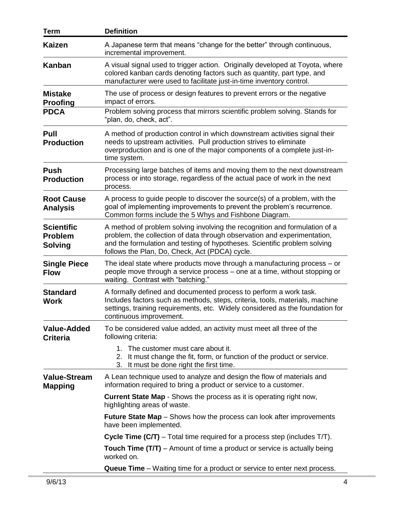| <b>Term</b>                                           | <b>Definition</b>                                                                                                                                                                                                                                                                     |
|-------------------------------------------------------|---------------------------------------------------------------------------------------------------------------------------------------------------------------------------------------------------------------------------------------------------------------------------------------|
| <b>Kaizen</b>                                         | A Japanese term that means "change for the better" through continuous,<br>incremental improvement.                                                                                                                                                                                    |
| <b>Kanban</b>                                         | A visual signal used to trigger action. Originally developed at Toyota, where<br>colored kanban cards denoting factors such as quantity, part type, and<br>manufacturer were used to facilitate just-in-time inventory control.                                                       |
| <b>Mistake</b><br><b>Proofing</b>                     | The use of process or design features to prevent errors or the negative<br>impact of errors.                                                                                                                                                                                          |
| <b>PDCA</b>                                           | Problem solving process that mirrors scientific problem solving. Stands for<br>"plan, do, check, act".                                                                                                                                                                                |
| Pull<br><b>Production</b>                             | A method of production control in which downstream activities signal their<br>needs to upstream activities. Pull production strives to eliminate<br>overproduction and is one of the major components of a complete just-in-<br>time system.                                          |
| <b>Push</b><br><b>Production</b>                      | Processing large batches of items and moving them to the next downstream<br>process or into storage, regardless of the actual pace of work in the next<br>process.                                                                                                                    |
| <b>Root Cause</b><br><b>Analysis</b>                  | A process to guide people to discover the source(s) of a problem, with the<br>goal of implementing improvements to prevent the problem's recurrence.<br>Common forms include the 5 Whys and Fishbone Diagram.                                                                         |
| <b>Scientific</b><br><b>Problem</b><br><b>Solving</b> | A method of problem solving involving the recognition and formulation of a<br>problem, the collection of data through observation and experimentation,<br>and the formulation and testing of hypotheses. Scientific problem solving<br>follows the Plan, Do, Check, Act (PDCA) cycle. |
| <b>Single Piece</b><br><b>Flow</b>                    | The ideal state where products move through a manufacturing process – or<br>people move through a service process – one at a time, without stopping or<br>waiting. Contrast with "batching."                                                                                          |
| <b>Standard</b><br><b>Work</b>                        | A formally defined and documented process to perform a work task.<br>Includes factors such as methods, steps, criteria, tools, materials, machine<br>settings, training requirements, etc. Widely considered as the foundation for<br>continuous improvement.                         |
| <b>Value-Added</b><br><b>Criteria</b>                 | To be considered value added, an activity must meet all three of the<br>following criteria:                                                                                                                                                                                           |
|                                                       | The customer must care about it.<br>$1_{-}$<br>It must change the fit, form, or function of the product or service.<br>2.<br>3.<br>It must be done right the first time.                                                                                                              |
| <b>Value-Stream</b><br><b>Mapping</b>                 | A Lean technique used to analyze and design the flow of materials and<br>information required to bring a product or service to a customer.                                                                                                                                            |
|                                                       | <b>Current State Map - Shows the process as it is operating right now,</b><br>highlighting areas of waste.                                                                                                                                                                            |
|                                                       | <b>Future State Map</b> – Shows how the process can look after improvements<br>have been implemented.                                                                                                                                                                                 |
|                                                       | <b>Cycle Time (C/T)</b> – Total time required for a process step (includes $T/T$ ).                                                                                                                                                                                                   |
|                                                       | <b>Touch Time (T/T)</b> – Amount of time a product or service is actually being<br>worked on.                                                                                                                                                                                         |
|                                                       | Queue Time - Waiting time for a product or service to enter next process.                                                                                                                                                                                                             |